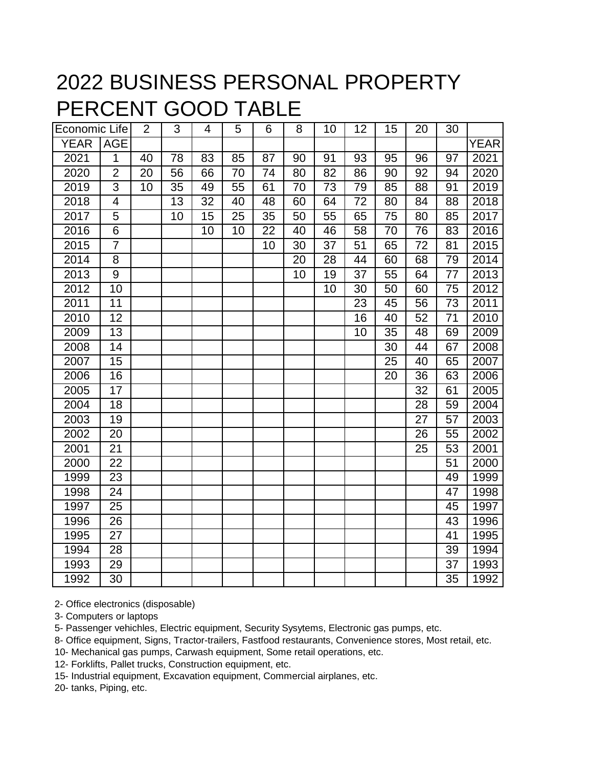## 2022 BUSINESS PERSONAL PROPERTY PERCENT GOOD TABLE

| Economic Life |                         | $\overline{2}$ | 3  | 4  | 5  | 6  | 8  | 10 | 12              | 15 | 20              | 30              |             |
|---------------|-------------------------|----------------|----|----|----|----|----|----|-----------------|----|-----------------|-----------------|-------------|
| YEAR          | <b>AGE</b>              |                |    |    |    |    |    |    |                 |    |                 |                 | <b>YEAR</b> |
| 2021          | 1                       | 40             | 78 | 83 | 85 | 87 | 90 | 91 | 93              | 95 | 96              | 97              | 2021        |
| 2020          | $\overline{2}$          | 20             | 56 | 66 | 70 | 74 | 80 | 82 | 86              | 90 | 92              | 94              | 2020        |
| 2019          | $\overline{3}$          | 10             | 35 | 49 | 55 | 61 | 70 | 73 | 79              | 85 | 88              | 91              | 2019        |
| 2018          | $\overline{\mathbf{4}}$ |                | 13 | 32 | 40 | 48 | 60 | 64 | 72              | 80 | 84              | 88              | 2018        |
| 2017          | 5                       |                | 10 | 15 | 25 | 35 | 50 | 55 | 65              | 75 | 80              | 85              | 2017        |
| 2016          | 6                       |                |    | 10 | 10 | 22 | 40 | 46 | 58              | 70 | 76              | 83              | 2016        |
| 2015          | $\overline{7}$          |                |    |    |    | 10 | 30 | 37 | 51              | 65 | 72              | 81              | 2015        |
| 2014          | 8                       |                |    |    |    |    | 20 | 28 | 44              | 60 | 68              | 79              | 2014        |
| 2013          | $\overline{9}$          |                |    |    |    |    | 10 | 19 | $\overline{37}$ | 55 | 64              | $\overline{77}$ | 2013        |
| 2012          | $\overline{10}$         |                |    |    |    |    |    | 10 | 30              | 50 | 60              | 75              | 2012        |
| 2011          | 11                      |                |    |    |    |    |    |    | 23              | 45 | 56              | 73              | 2011        |
| 2010          | $\overline{12}$         |                |    |    |    |    |    |    | 16              | 40 | 52              | 71              | 2010        |
| 2009          | 13                      |                |    |    |    |    |    |    | 10              | 35 | 48              | 69              | 2009        |
| 2008          | 14                      |                |    |    |    |    |    |    |                 | 30 | 44              | 67              | 2008        |
| 2007          | $\overline{15}$         |                |    |    |    |    |    |    |                 | 25 | 40              | 65              | 2007        |
| 2006          | $\overline{16}$         |                |    |    |    |    |    |    |                 | 20 | $\overline{36}$ | 63              | 2006        |
| 2005          | 17                      |                |    |    |    |    |    |    |                 |    | 32              | 61              | 2005        |
| 2004          | 18                      |                |    |    |    |    |    |    |                 |    | 28              | 59              | 2004        |
| 2003          | 19                      |                |    |    |    |    |    |    |                 |    | 27              | 57              | 2003        |
| 2002          | 20                      |                |    |    |    |    |    |    |                 |    | 26              | 55              | 2002        |
| 2001          | 21                      |                |    |    |    |    |    |    |                 |    | 25              | 53              | 2001        |
| 2000          | 22                      |                |    |    |    |    |    |    |                 |    |                 | 51              | 2000        |
| 1999          | 23                      |                |    |    |    |    |    |    |                 |    |                 | 49              | 1999        |
| 1998          | 24                      |                |    |    |    |    |    |    |                 |    |                 | 47              | 1998        |
| 1997          | 25                      |                |    |    |    |    |    |    |                 |    |                 | 45              | 1997        |
| 1996          | 26                      |                |    |    |    |    |    |    |                 |    |                 | 43              | 1996        |
| 1995          | 27                      |                |    |    |    |    |    |    |                 |    |                 | 41              | 1995        |
| 1994          | 28                      |                |    |    |    |    |    |    |                 |    |                 | 39              | 1994        |
| 1993          | 29                      |                |    |    |    |    |    |    |                 |    |                 | 37              | 1993        |
| 1992          | 30                      |                |    |    |    |    |    |    |                 |    |                 | 35              | 1992        |

2- Office electronics (disposable)

3- Computers or laptops

5- Passenger vehichles, Electric equipment, Security Sysytems, Electronic gas pumps, etc.

8- Office equipment, Signs, Tractor-trailers, Fastfood restaurants, Convenience stores, Most retail, etc.

10- Mechanical gas pumps, Carwash equipment, Some retail operations, etc.

12- Forklifts, Pallet trucks, Construction equipment, etc.

15- Industrial equipment, Excavation equipment, Commercial airplanes, etc.

20- tanks, Piping, etc.